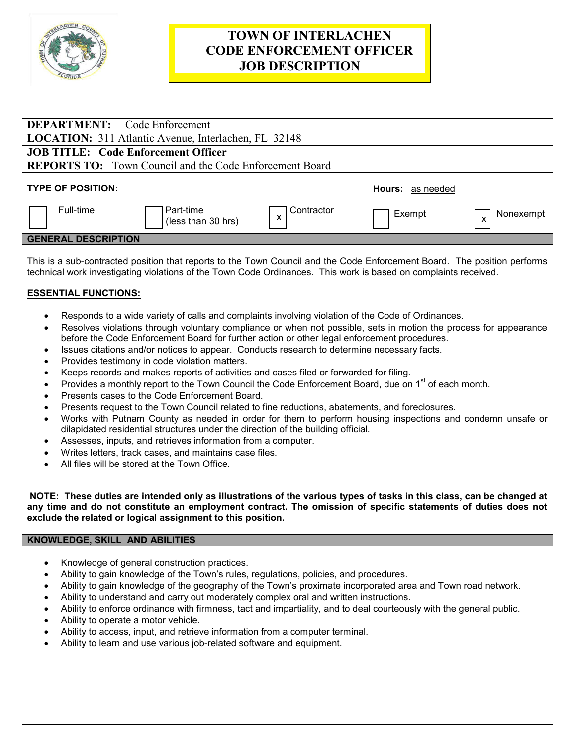

# **TOWN OF INTERLACHEN CODE ENFORCEMENT OFFICER JOB DESCRIPTION**

| <b>DEPARTMENT:</b> Code Enforcement                               |                         |                           |  |
|-------------------------------------------------------------------|-------------------------|---------------------------|--|
| <b>LOCATION:</b> 311 Atlantic Avenue, Interlachen, FL 32148       |                         |                           |  |
| <b>JOB TITLE: Code Enforcement Officer</b>                        |                         |                           |  |
| <b>REPORTS TO:</b> Town Council and the Code Enforcement Board    |                         |                           |  |
| <b>TYPE OF POSITION:</b>                                          | <b>Hours: as needed</b> |                           |  |
| Full-time<br>  Part-time<br>Contractor<br>X<br>(less than 30 hrs) | Exempt                  | Nonexempt<br>$\mathsf{x}$ |  |
| <b>GENERAL DESCRIPTION</b>                                        |                         |                           |  |
|                                                                   |                         |                           |  |

This is a sub-contracted position that reports to the Town Council and the Code Enforcement Board. The position performs technical work investigating violations of the Town Code Ordinances. This work is based on complaints received.

## **ESSENTIAL FUNCTIONS:**

- Responds to a wide variety of calls and complaints involving violation of the Code of Ordinances.
- Resolves violations through voluntary compliance or when not possible, sets in motion the process for appearance before the Code Enforcement Board for further action or other legal enforcement procedures.
- Issues citations and/or notices to appear. Conducts research to determine necessary facts.
- Provides testimony in code violation matters.
- Keeps records and makes reports of activities and cases filed or forwarded for filing.
- Provides a monthly report to the Town Council the Code Enforcement Board, due on 1<sup>st</sup> of each month.
- Presents cases to the Code Enforcement Board.
- Presents request to the Town Council related to fine reductions, abatements, and foreclosures.
- Works with Putnam County as needed in order for them to perform housing inspections and condemn unsafe or dilapidated residential structures under the direction of the building official.
- Assesses, inputs, and retrieves information from a computer.
- Writes letters, track cases, and maintains case files.
- All files will be stored at the Town Office.

**NOTE: These duties are intended only as illustrations of the various types of tasks in this class, can be changed at any time and do not constitute an employment contract. The omission of specific statements of duties does not exclude the related or logical assignment to this position.** 

### **KNOWLEDGE, SKILL AND ABILITIES**

- Knowledge of general construction practices.
- Ability to gain knowledge of the Town's rules, regulations, policies, and procedures.
- Ability to gain knowledge of the geography of the Town's proximate incorporated area and Town road network.
- Ability to understand and carry out moderately complex oral and written instructions.
- Ability to enforce ordinance with firmness, tact and impartiality, and to deal courteously with the general public.
- Ability to operate a motor vehicle.
- Ability to access, input, and retrieve information from a computer terminal.
- Ability to learn and use various job-related software and equipment.